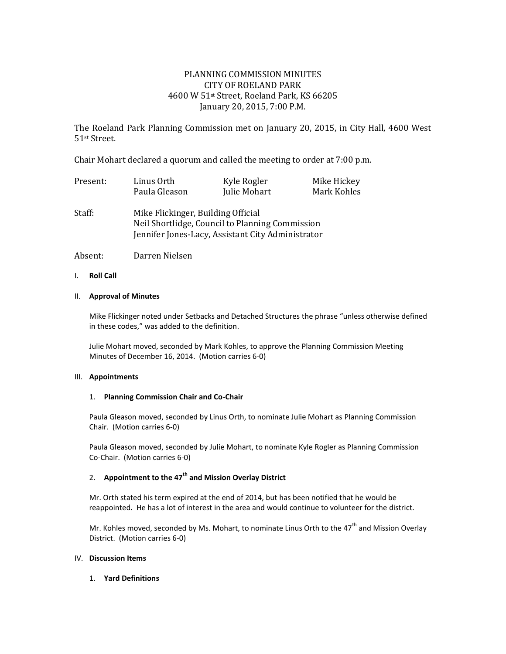# PLANNING COMMISSION MINUTES CITY OF ROELAND PARK 4600 W 51st Street, Roeland Park, KS 66205 January 20, 2015, 7:00 P.M.

The Roeland Park Planning Commission met on January 20, 2015, in City Hall, 4600 West 51st Street.

Chair Mohart declared a quorum and called the meeting to order at 7:00 p.m.

| Present: | Linus Orth    | Kyle Rogler  | Mike Hickey |
|----------|---------------|--------------|-------------|
|          | Paula Gleason | Julie Mohart | Mark Kohles |

Staff: Mike Flickinger, Building Official Neil Shortlidge, Council to Planning Commission Jennifer Jones-Lacy, Assistant City Administrator

Absent: Darren Nielsen

I. **Roll Call**

### II. **Approval of Minutes**

Mike Flickinger noted under Setbacks and Detached Structures the phrase "unless otherwise defined in these codes," was added to the definition.

Julie Mohart moved, seconded by Mark Kohles, to approve the Planning Commission Meeting Minutes of December 16, 2014. (Motion carries 6-0)

#### III. **Appointments**

#### 1. **Planning Commission Chair and Co-Chair**

Paula Gleason moved, seconded by Linus Orth, to nominate Julie Mohart as Planning Commission Chair. (Motion carries 6-0)

Paula Gleason moved, seconded by Julie Mohart, to nominate Kyle Rogler as Planning Commission Co-Chair. (Motion carries 6-0)

# 2. **Appointment to the 47th and Mission Overlay District**

Mr. Orth stated his term expired at the end of 2014, but has been notified that he would be reappointed. He has a lot of interest in the area and would continue to volunteer for the district.

Mr. Kohles moved, seconded by Ms. Mohart, to nominate Linus Orth to the 47<sup>th</sup> and Mission Overlav District. (Motion carries 6-0)

### IV. **Discussion Items**

1. **Yard Definitions**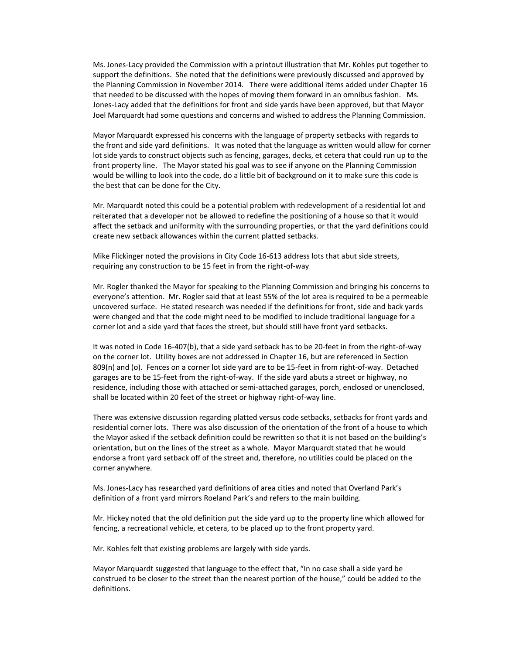Ms. Jones-Lacy provided the Commission with a printout illustration that Mr. Kohles put together to support the definitions. She noted that the definitions were previously discussed and approved by the Planning Commission in November 2014. There were additional items added under Chapter 16 that needed to be discussed with the hopes of moving them forward in an omnibus fashion. Ms. Jones-Lacy added that the definitions for front and side yards have been approved, but that Mayor Joel Marquardt had some questions and concerns and wished to address the Planning Commission.

Mayor Marquardt expressed his concerns with the language of property setbacks with regards to the front and side yard definitions. It was noted that the language as written would allow for corner lot side yards to construct objects such as fencing, garages, decks, et cetera that could run up to the front property line. The Mayor stated his goal was to see if anyone on the Planning Commission would be willing to look into the code, do a little bit of background on it to make sure this code is the best that can be done for the City.

Mr. Marquardt noted this could be a potential problem with redevelopment of a residential lot and reiterated that a developer not be allowed to redefine the positioning of a house so that it would affect the setback and uniformity with the surrounding properties, or that the yard definitions could create new setback allowances within the current platted setbacks.

Mike Flickinger noted the provisions in City Code 16-613 address lots that abut side streets, requiring any construction to be 15 feet in from the right-of-way

Mr. Rogler thanked the Mayor for speaking to the Planning Commission and bringing his concerns to everyone's attention. Mr. Rogler said that at least 55% of the lot area is required to be a permeable uncovered surface. He stated research was needed if the definitions for front, side and back yards were changed and that the code might need to be modified to include traditional language for a corner lot and a side yard that faces the street, but should still have front yard setbacks.

It was noted in Code 16-407(b), that a side yard setback has to be 20-feet in from the right-of-way on the corner lot. Utility boxes are not addressed in Chapter 16, but are referenced in Section 809(n) and (o). Fences on a corner lot side yard are to be 15-feet in from right-of-way. Detached garages are to be 15-feet from the right-of-way. If the side yard abuts a street or highway, no residence, including those with attached or semi-attached garages, porch, enclosed or unenclosed, shall be located within 20 feet of the street or highway right-of-way line.

There was extensive discussion regarding platted versus code setbacks, setbacks for front yards and residential corner lots. There was also discussion of the orientation of the front of a house to which the Mayor asked if the setback definition could be rewritten so that it is not based on the building's orientation, but on the lines of the street as a whole. Mayor Marquardt stated that he would endorse a front yard setback off of the street and, therefore, no utilities could be placed on the corner anywhere.

Ms. Jones-Lacy has researched yard definitions of area cities and noted that Overland Park's definition of a front yard mirrors Roeland Park's and refers to the main building.

Mr. Hickey noted that the old definition put the side yard up to the property line which allowed for fencing, a recreational vehicle, et cetera, to be placed up to the front property yard.

Mr. Kohles felt that existing problems are largely with side yards.

Mayor Marquardt suggested that language to the effect that, "In no case shall a side yard be construed to be closer to the street than the nearest portion of the house," could be added to the definitions.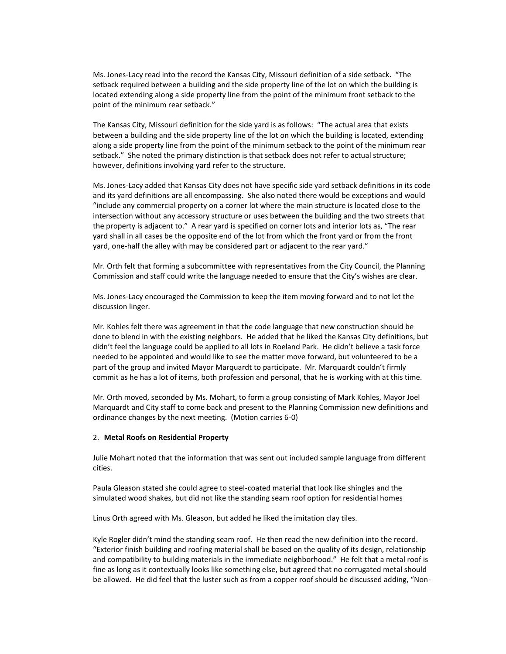Ms. Jones-Lacy read into the record the Kansas City, Missouri definition of a side setback. "The setback required between a building and the side property line of the lot on which the building is located extending along a side property line from the point of the minimum front setback to the point of the minimum rear setback."

The Kansas City, Missouri definition for the side yard is as follows: "The actual area that exists between a building and the side property line of the lot on which the building is located, extending along a side property line from the point of the minimum setback to the point of the minimum rear setback." She noted the primary distinction is that setback does not refer to actual structure; however, definitions involving yard refer to the structure.

Ms. Jones-Lacy added that Kansas City does not have specific side yard setback definitions in its code and its yard definitions are all encompassing. She also noted there would be exceptions and would "include any commercial property on a corner lot where the main structure is located close to the intersection without any accessory structure or uses between the building and the two streets that the property is adjacent to." A rear yard is specified on corner lots and interior lots as, "The rear yard shall in all cases be the opposite end of the lot from which the front yard or from the front yard, one-half the alley with may be considered part or adjacent to the rear yard."

Mr. Orth felt that forming a subcommittee with representatives from the City Council, the Planning Commission and staff could write the language needed to ensure that the City's wishes are clear.

Ms. Jones-Lacy encouraged the Commission to keep the item moving forward and to not let the discussion linger.

Mr. Kohles felt there was agreement in that the code language that new construction should be done to blend in with the existing neighbors. He added that he liked the Kansas City definitions, but didn't feel the language could be applied to all lots in Roeland Park. He didn't believe a task force needed to be appointed and would like to see the matter move forward, but volunteered to be a part of the group and invited Mayor Marquardt to participate. Mr. Marquardt couldn't firmly commit as he has a lot of items, both profession and personal, that he is working with at this time.

Mr. Orth moved, seconded by Ms. Mohart, to form a group consisting of Mark Kohles, Mayor Joel Marquardt and City staff to come back and present to the Planning Commission new definitions and ordinance changes by the next meeting. (Motion carries 6-0)

#### 2. **Metal Roofs on Residential Property**

Julie Mohart noted that the information that was sent out included sample language from different cities.

Paula Gleason stated she could agree to steel-coated material that look like shingles and the simulated wood shakes, but did not like the standing seam roof option for residential homes

Linus Orth agreed with Ms. Gleason, but added he liked the imitation clay tiles.

Kyle Rogler didn't mind the standing seam roof. He then read the new definition into the record. "Exterior finish building and roofing material shall be based on the quality of its design, relationship and compatibility to building materials in the immediate neighborhood." He felt that a metal roof is fine as long as it contextually looks like something else, but agreed that no corrugated metal should be allowed. He did feel that the luster such as from a copper roof should be discussed adding, "Non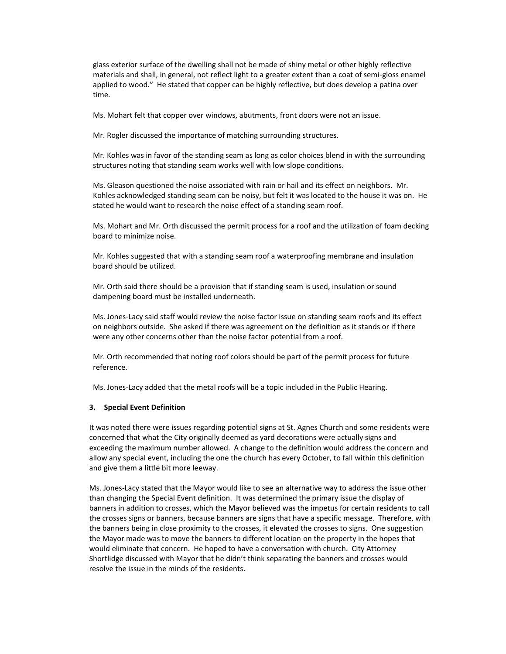glass exterior surface of the dwelling shall not be made of shiny metal or other highly reflective materials and shall, in general, not reflect light to a greater extent than a coat of semi-gloss enamel applied to wood." He stated that copper can be highly reflective, but does develop a patina over time.

Ms. Mohart felt that copper over windows, abutments, front doors were not an issue.

Mr. Rogler discussed the importance of matching surrounding structures.

Mr. Kohles was in favor of the standing seam as long as color choices blend in with the surrounding structures noting that standing seam works well with low slope conditions.

Ms. Gleason questioned the noise associated with rain or hail and its effect on neighbors. Mr. Kohles acknowledged standing seam can be noisy, but felt it was located to the house it was on. He stated he would want to research the noise effect of a standing seam roof.

Ms. Mohart and Mr. Orth discussed the permit process for a roof and the utilization of foam decking board to minimize noise.

Mr. Kohles suggested that with a standing seam roof a waterproofing membrane and insulation board should be utilized.

Mr. Orth said there should be a provision that if standing seam is used, insulation or sound dampening board must be installed underneath.

Ms. Jones-Lacy said staff would review the noise factor issue on standing seam roofs and its effect on neighbors outside. She asked if there was agreement on the definition as it stands or if there were any other concerns other than the noise factor potential from a roof.

Mr. Orth recommended that noting roof colors should be part of the permit process for future reference.

Ms. Jones-Lacy added that the metal roofs will be a topic included in the Public Hearing.

#### **3. Special Event Definition**

It was noted there were issues regarding potential signs at St. Agnes Church and some residents were concerned that what the City originally deemed as yard decorations were actually signs and exceeding the maximum number allowed. A change to the definition would address the concern and allow any special event, including the one the church has every October, to fall within this definition and give them a little bit more leeway.

Ms. Jones-Lacy stated that the Mayor would like to see an alternative way to address the issue other than changing the Special Event definition. It was determined the primary issue the display of banners in addition to crosses, which the Mayor believed was the impetus for certain residents to call the crosses signs or banners, because banners are signs that have a specific message. Therefore, with the banners being in close proximity to the crosses, it elevated the crosses to signs. One suggestion the Mayor made was to move the banners to different location on the property in the hopes that would eliminate that concern. He hoped to have a conversation with church. City Attorney Shortlidge discussed with Mayor that he didn't think separating the banners and crosses would resolve the issue in the minds of the residents.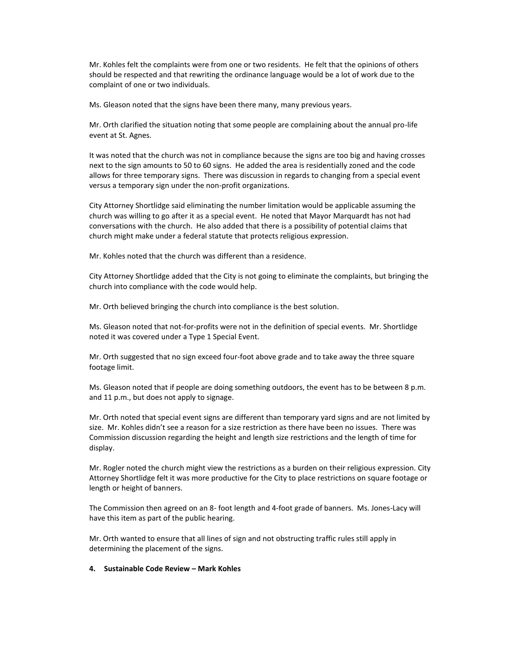Mr. Kohles felt the complaints were from one or two residents. He felt that the opinions of others should be respected and that rewriting the ordinance language would be a lot of work due to the complaint of one or two individuals.

Ms. Gleason noted that the signs have been there many, many previous years.

Mr. Orth clarified the situation noting that some people are complaining about the annual pro-life event at St. Agnes.

It was noted that the church was not in compliance because the signs are too big and having crosses next to the sign amounts to 50 to 60 signs. He added the area is residentially zoned and the code allows for three temporary signs. There was discussion in regards to changing from a special event versus a temporary sign under the non-profit organizations.

City Attorney Shortlidge said eliminating the number limitation would be applicable assuming the church was willing to go after it as a special event. He noted that Mayor Marquardt has not had conversations with the church. He also added that there is a possibility of potential claims that church might make under a federal statute that protects religious expression.

Mr. Kohles noted that the church was different than a residence.

City Attorney Shortlidge added that the City is not going to eliminate the complaints, but bringing the church into compliance with the code would help.

Mr. Orth believed bringing the church into compliance is the best solution.

Ms. Gleason noted that not-for-profits were not in the definition of special events. Mr. Shortlidge noted it was covered under a Type 1 Special Event.

Mr. Orth suggested that no sign exceed four-foot above grade and to take away the three square footage limit.

Ms. Gleason noted that if people are doing something outdoors, the event has to be between 8 p.m. and 11 p.m., but does not apply to signage.

Mr. Orth noted that special event signs are different than temporary yard signs and are not limited by size. Mr. Kohles didn't see a reason for a size restriction as there have been no issues. There was Commission discussion regarding the height and length size restrictions and the length of time for display.

Mr. Rogler noted the church might view the restrictions as a burden on their religious expression. City Attorney Shortlidge felt it was more productive for the City to place restrictions on square footage or length or height of banners.

The Commission then agreed on an 8- foot length and 4-foot grade of banners. Ms. Jones-Lacy will have this item as part of the public hearing.

Mr. Orth wanted to ensure that all lines of sign and not obstructing traffic rules still apply in determining the placement of the signs.

#### **4. Sustainable Code Review – Mark Kohles**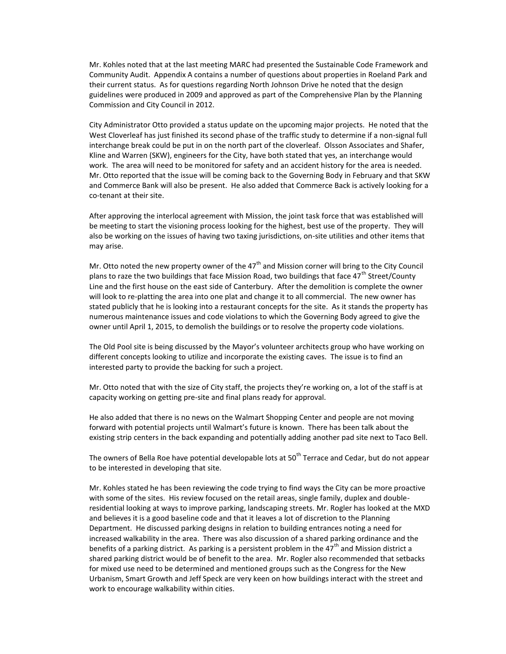Mr. Kohles noted that at the last meeting MARC had presented the Sustainable Code Framework and Community Audit. Appendix A contains a number of questions about properties in Roeland Park and their current status. As for questions regarding North Johnson Drive he noted that the design guidelines were produced in 2009 and approved as part of the Comprehensive Plan by the Planning Commission and City Council in 2012.

City Administrator Otto provided a status update on the upcoming major projects. He noted that the West Cloverleaf has just finished its second phase of the traffic study to determine if a non-signal full interchange break could be put in on the north part of the cloverleaf. Olsson Associates and Shafer, Kline and Warren (SKW), engineers for the City, have both stated that yes, an interchange would work. The area will need to be monitored for safety and an accident history for the area is needed. Mr. Otto reported that the issue will be coming back to the Governing Body in February and that SKW and Commerce Bank will also be present. He also added that Commerce Back is actively looking for a co-tenant at their site.

After approving the interlocal agreement with Mission, the joint task force that was established will be meeting to start the visioning process looking for the highest, best use of the property. They will also be working on the issues of having two taxing jurisdictions, on-site utilities and other items that may arise.

Mr. Otto noted the new property owner of the  $47<sup>th</sup>$  and Mission corner will bring to the City Council plans to raze the two buildings that face Mission Road, two buildings that face  $47^{\text{th}}$  Street/County Line and the first house on the east side of Canterbury. After the demolition is complete the owner will look to re-platting the area into one plat and change it to all commercial. The new owner has stated publicly that he is looking into a restaurant concepts for the site. As it stands the property has numerous maintenance issues and code violations to which the Governing Body agreed to give the owner until April 1, 2015, to demolish the buildings or to resolve the property code violations.

The Old Pool site is being discussed by the Mayor's volunteer architects group who have working on different concepts looking to utilize and incorporate the existing caves. The issue is to find an interested party to provide the backing for such a project.

Mr. Otto noted that with the size of City staff, the projects they're working on, a lot of the staff is at capacity working on getting pre-site and final plans ready for approval.

He also added that there is no news on the Walmart Shopping Center and people are not moving forward with potential projects until Walmart's future is known. There has been talk about the existing strip centers in the back expanding and potentially adding another pad site next to Taco Bell.

The owners of Bella Roe have potential developable lots at 50<sup>th</sup> Terrace and Cedar, but do not appear to be interested in developing that site.

Mr. Kohles stated he has been reviewing the code trying to find ways the City can be more proactive with some of the sites. His review focused on the retail areas, single family, duplex and doubleresidential looking at ways to improve parking, landscaping streets. Mr. Rogler has looked at the MXD and believes it is a good baseline code and that it leaves a lot of discretion to the Planning Department. He discussed parking designs in relation to building entrances noting a need for increased walkability in the area. There was also discussion of a shared parking ordinance and the benefits of a parking district. As parking is a persistent problem in the  $47<sup>th</sup>$  and Mission district a shared parking district would be of benefit to the area. Mr. Rogler also recommended that setbacks for mixed use need to be determined and mentioned groups such as the Congress for the New Urbanism, Smart Growth and Jeff Speck are very keen on how buildings interact with the street and work to encourage walkability within cities.